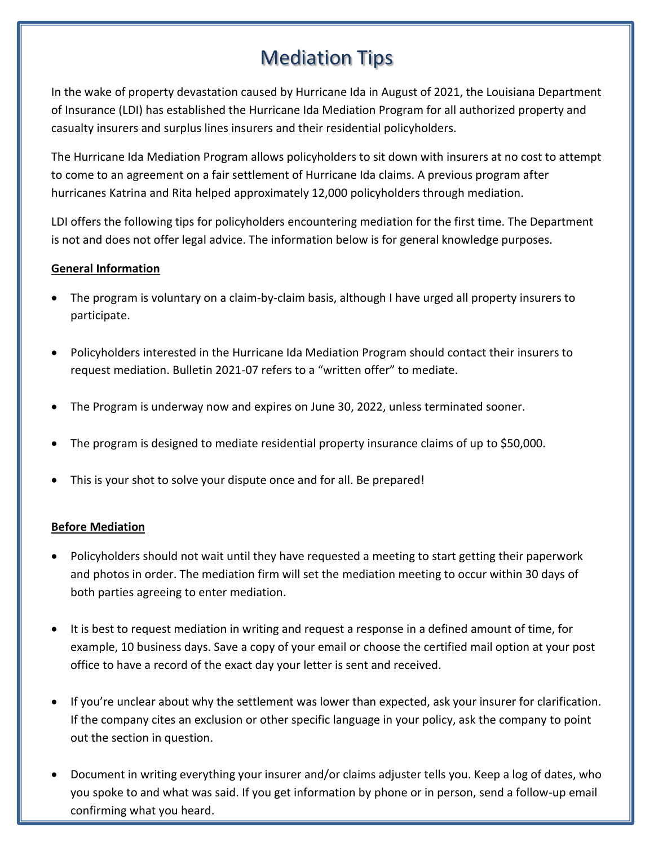# Mediation Tips

In the wake of property devastation caused by Hurricane Ida in August of 2021, the Louisiana Department of Insurance (LDI) has established the Hurricane Ida Mediation Program for all authorized property and casualty insurers and surplus lines insurers and their residential policyholders.

The Hurricane Ida Mediation Program allows policyholders to sit down with insurers at no cost to attempt to come to an agreement on a fair settlement of Hurricane Ida claims. A previous program after hurricanes Katrina and Rita helped approximately 12,000 policyholders through mediation.

LDI offers the following tips for policyholders encountering mediation for the first time. The Department is not and does not offer legal advice. The information below is for general knowledge purposes.

## **General Information**

- The program is voluntary on a claim-by-claim basis, although I have urged all property insurers to participate.
- Policyholders interested in the Hurricane Ida Mediation Program should contact their insurers to request mediation. Bulletin 2021-07 refers to a "written offer" to mediate.
- The Program is underway now and expires on June 30, 2022, unless terminated sooner.
- The program is designed to mediate residential property insurance claims of up to \$50,000.
- This is your shot to solve your dispute once and for all. Be prepared!

## **Before Mediation**

- Policyholders should not wait until they have requested a meeting to start getting their paperwork and photos in order. The mediation firm will set the mediation meeting to occur within 30 days of both parties agreeing to enter mediation.
- It is best to request mediation in writing and request a response in a defined amount of time, for example, 10 business days. Save a copy of your email or choose the certified mail option at your post office to have a record of the exact day your letter is sent and received.
- If you're unclear about why the settlement was lower than expected, ask your insurer for clarification. If the company cites an exclusion or other specific language in your policy, ask the company to point out the section in question.
- Document in writing everything your insurer and/or claims adjuster tells you. Keep a log of dates, who you spoke to and what was said. If you get information by phone or in person, send a follow-up email confirming what you heard.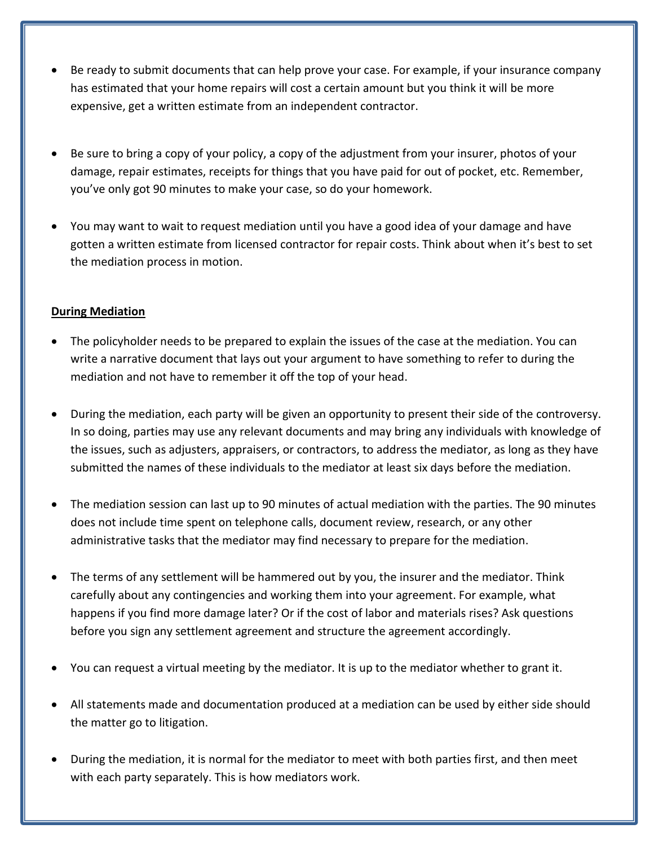- Be ready to submit documents that can help prove your case. For example, if your insurance company has estimated that your home repairs will cost a certain amount but you think it will be more expensive, get a written estimate from an independent contractor.
- Be sure to bring a copy of your policy, a copy of the adjustment from your insurer, photos of your damage, repair estimates, receipts for things that you have paid for out of pocket, etc. Remember, you've only got 90 minutes to make your case, so do your homework.
- You may want to wait to request mediation until you have a good idea of your damage and have gotten a written estimate from licensed contractor for repair costs. Think about when it's best to set the mediation process in motion.

## **During Mediation**

- The policyholder needs to be prepared to explain the issues of the case at the mediation. You can write a narrative document that lays out your argument to have something to refer to during the mediation and not have to remember it off the top of your head.
- During the mediation, each party will be given an opportunity to present their side of the controversy. In so doing, parties may use any relevant documents and may bring any individuals with knowledge of the issues, such as adjusters, appraisers, or contractors, to address the mediator, as long as they have submitted the names of these individuals to the mediator at least six days before the mediation.
- The mediation session can last up to 90 minutes of actual mediation with the parties. The 90 minutes does not include time spent on telephone calls, document review, research, or any other administrative tasks that the mediator may find necessary to prepare for the mediation.
- The terms of any settlement will be hammered out by you, the insurer and the mediator. Think carefully about any contingencies and working them into your agreement. For example, what happens if you find more damage later? Or if the cost of labor and materials rises? Ask questions before you sign any settlement agreement and structure the agreement accordingly.
- You can request a virtual meeting by the mediator. It is up to the mediator whether to grant it.
- All statements made and documentation produced at a mediation can be used by either side should the matter go to litigation.
- During the mediation, it is normal for the mediator to meet with both parties first, and then meet with each party separately. This is how mediators work.